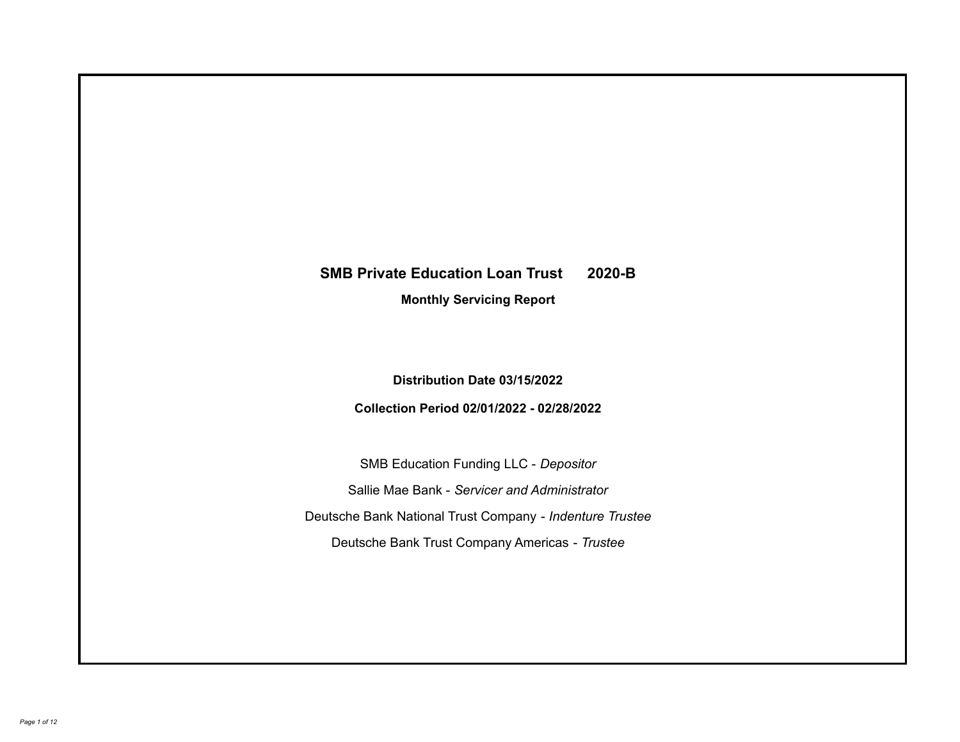# **SMB Private Education Loan Trust 2020-B**

**Monthly Servicing Report**

**Distribution Date 03/15/2022**

**Collection Period 02/01/2022 - 02/28/2022**

SMB Education Funding LLC - *Depositor* Sallie Mae Bank - *Servicer and Administrator* Deutsche Bank National Trust Company - *Indenture Trustee* Deutsche Bank Trust Company Americas - *Trustee*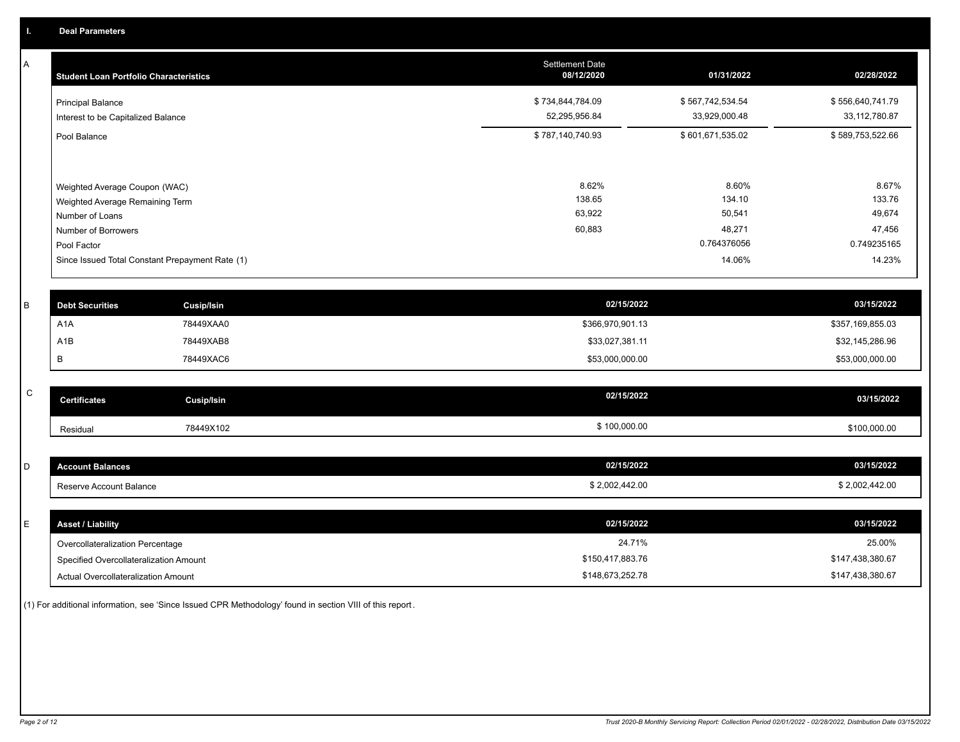A

| <b>Student Loan Portfolio Characteristics</b>                                                                             | <b>Settlement Date</b><br>08/12/2020 | 01/31/2022                                         | 02/28/2022                                         |
|---------------------------------------------------------------------------------------------------------------------------|--------------------------------------|----------------------------------------------------|----------------------------------------------------|
| <b>Principal Balance</b><br>Interest to be Capitalized Balance                                                            | \$734,844,784.09<br>52,295,956.84    | \$567,742,534.54<br>33,929,000.48                  | \$556,640,741.79<br>33,112,780.87                  |
| Pool Balance                                                                                                              | \$787,140,740.93                     | \$601,671,535.02                                   | \$589,753,522.66                                   |
| Weighted Average Coupon (WAC)<br>Weighted Average Remaining Term<br>Number of Loans<br>Number of Borrowers<br>Pool Factor | 8.62%<br>138.65<br>63,922<br>60,883  | 8.60%<br>134.10<br>50,541<br>48,271<br>0.764376056 | 8.67%<br>133.76<br>49,674<br>47,456<br>0.749235165 |
| Since Issued Total Constant Prepayment Rate (1)                                                                           |                                      | 14.06%                                             | 14.23%                                             |

| <b>Debt Securities</b> | Cusip/Isin | 02/15/2022       | 03/15/2022       |
|------------------------|------------|------------------|------------------|
| A <sub>1</sub> A       | 78449XAA0  | \$366,970,901.13 | \$357,169,855.03 |
| A1B                    | 78449XAB8  | \$33,027,381.11  | \$32,145,286.96  |
|                        | 78449XAC6  | \$53,000,000.00  | \$53,000,000.00  |

| $\overline{\phantom{1}}$<br>u | <b>Certificates</b> | <b>Cusip/Isin</b> | 02/15/2022   | 03/15/2022   |
|-------------------------------|---------------------|-------------------|--------------|--------------|
|                               | Residual            | 78449X102         | \$100,000.00 | \$100,000.00 |

| <b>Account Balances</b> | 02/15/2022     | 03/15/2022     |
|-------------------------|----------------|----------------|
| Reserve Account Balance | \$2,002,442.00 | \$2,002,442.00 |

| E. | <b>Asset / Liability</b>               | 02/15/2022       | 03/15/2022       |
|----|----------------------------------------|------------------|------------------|
|    | Overcollateralization Percentage       | 24.71%           | 25.00%           |
|    | Specified Overcollateralization Amount | \$150,417,883.76 | \$147,438,380.67 |
|    | Actual Overcollateralization Amount    | \$148,673,252.78 | \$147,438,380.67 |

(1) For additional information, see 'Since Issued CPR Methodology' found in section VIII of this report .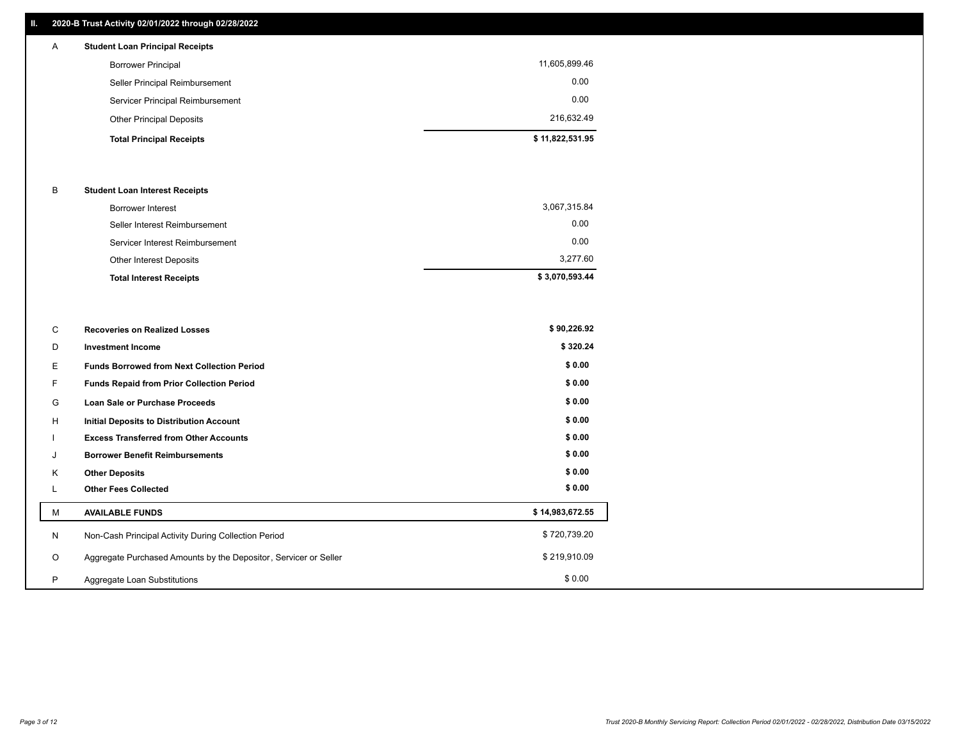## **II. 2020-B Trust Activity 02/01/2022 through 02/28/2022**

## A **Student Loan Principal Receipts**

| <b>Total Principal Receipts</b>  | \$11,822,531.95 |
|----------------------------------|-----------------|
| <b>Other Principal Deposits</b>  | 216,632.49      |
| Servicer Principal Reimbursement | 0.00            |
| Seller Principal Reimbursement   | 0.00            |
| <b>Borrower Principal</b>        | 11,605,899.46   |

#### B **Student Loan Interest Receipts**

| <b>Total Interest Receipts</b>  | \$3,070,593.44 |
|---------------------------------|----------------|
| Other Interest Deposits         | 3,277.60       |
| Servicer Interest Reimbursement | 0.00           |
| Seller Interest Reimbursement   | 0.00           |
| <b>Borrower Interest</b>        | 3,067,315.84   |

| C       | <b>Recoveries on Realized Losses</b>                             | \$90,226.92     |
|---------|------------------------------------------------------------------|-----------------|
| D       | <b>Investment Income</b>                                         | \$320.24        |
| Е       | <b>Funds Borrowed from Next Collection Period</b>                | \$0.00          |
| F.      | <b>Funds Repaid from Prior Collection Period</b>                 | \$0.00          |
| G       | Loan Sale or Purchase Proceeds                                   | \$0.00          |
| H       | Initial Deposits to Distribution Account                         | \$0.00          |
|         | <b>Excess Transferred from Other Accounts</b>                    | \$0.00          |
| J       | <b>Borrower Benefit Reimbursements</b>                           | \$0.00          |
| K       | <b>Other Deposits</b>                                            | \$0.00          |
| L       | <b>Other Fees Collected</b>                                      | \$0.00          |
| M       | <b>AVAILABLE FUNDS</b>                                           | \$14,983,672.55 |
| N       | Non-Cash Principal Activity During Collection Period             | \$720,739.20    |
| $\circ$ | Aggregate Purchased Amounts by the Depositor, Servicer or Seller | \$219,910.09    |
| P       | Aggregate Loan Substitutions                                     | \$0.00          |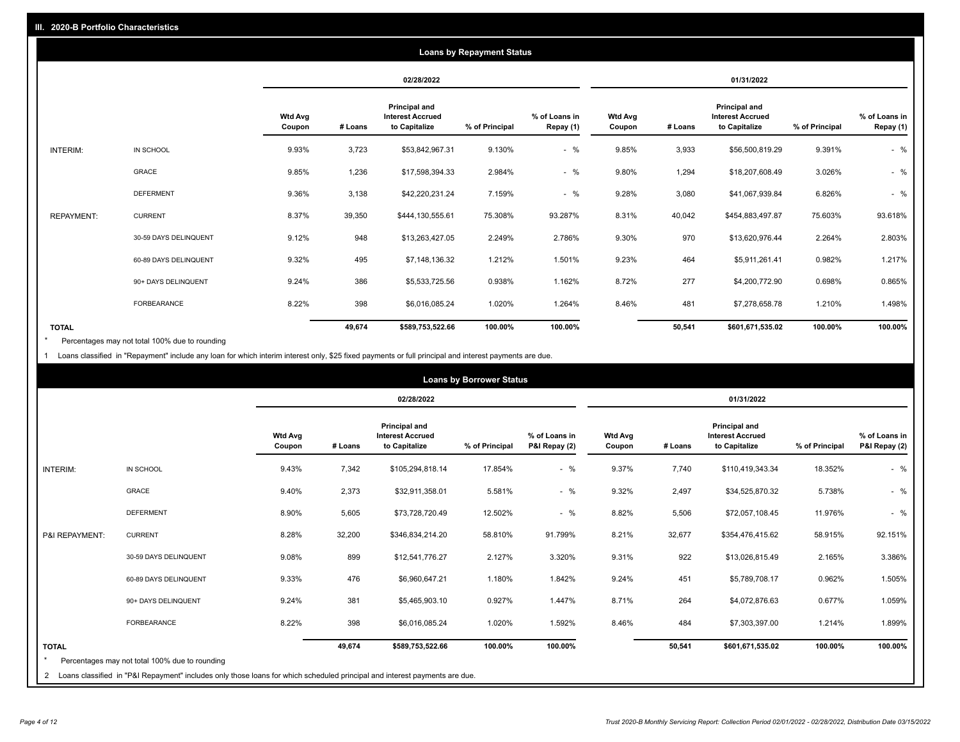|                   | <b>Loans by Repayment Status</b> |                          |         |                                                                  |                |                            |                          |         |                                                           |                |                            |
|-------------------|----------------------------------|--------------------------|---------|------------------------------------------------------------------|----------------|----------------------------|--------------------------|---------|-----------------------------------------------------------|----------------|----------------------------|
|                   |                                  |                          |         | 02/28/2022                                                       |                |                            |                          |         | 01/31/2022                                                |                |                            |
|                   |                                  | <b>Wtd Avg</b><br>Coupon | # Loans | <b>Principal and</b><br><b>Interest Accrued</b><br>to Capitalize | % of Principal | % of Loans in<br>Repay (1) | <b>Wtd Avg</b><br>Coupon | # Loans | Principal and<br><b>Interest Accrued</b><br>to Capitalize | % of Principal | % of Loans in<br>Repay (1) |
| INTERIM:          | IN SCHOOL                        | 9.93%                    | 3,723   | \$53,842,967.31                                                  | 9.130%         | $-$ %                      | 9.85%                    | 3,933   | \$56,500,819.29                                           | 9.391%         | $-$ %                      |
|                   | GRACE                            | 9.85%                    | 1,236   | \$17,598,394.33                                                  | 2.984%         | $-$ %                      | 9.80%                    | 1,294   | \$18,207,608.49                                           | 3.026%         | $-$ %                      |
|                   | <b>DEFERMENT</b>                 | 9.36%                    | 3,138   | \$42,220,231.24                                                  | 7.159%         | $-$ %                      | 9.28%                    | 3,080   | \$41,067,939.84                                           | 6.826%         | $-$ %                      |
| <b>REPAYMENT:</b> | <b>CURRENT</b>                   | 8.37%                    | 39,350  | \$444,130,555.61                                                 | 75.308%        | 93.287%                    | 8.31%                    | 40,042  | \$454,883,497.87                                          | 75.603%        | 93.618%                    |
|                   | 30-59 DAYS DELINQUENT            | 9.12%                    | 948     | \$13,263,427.05                                                  | 2.249%         | 2.786%                     | 9.30%                    | 970     | \$13,620,976.44                                           | 2.264%         | 2.803%                     |
|                   | 60-89 DAYS DELINQUENT            | 9.32%                    | 495     | \$7,148,136.32                                                   | 1.212%         | 1.501%                     | 9.23%                    | 464     | \$5,911,261.41                                            | 0.982%         | 1.217%                     |
|                   | 90+ DAYS DELINQUENT              | 9.24%                    | 386     | \$5,533,725.56                                                   | 0.938%         | 1.162%                     | 8.72%                    | 277     | \$4,200,772.90                                            | 0.698%         | 0.865%                     |
|                   | <b>FORBEARANCE</b>               | 8.22%                    | 398     | \$6,016,085.24                                                   | 1.020%         | 1.264%                     | 8.46%                    | 481     | \$7,278,658.78                                            | 1.210%         | 1.498%                     |
| <b>TOTAL</b>      |                                  |                          | 49,674  | \$589,753,522.66                                                 | 100.00%        | 100.00%                    |                          | 50,541  | \$601,671,535.02                                          | 100.00%        | 100.00%                    |

Percentages may not total 100% due to rounding \*

1 Loans classified in "Repayment" include any loan for which interim interest only, \$25 fixed payments or full principal and interest payments are due.

|                | <b>Loans by Borrower Status</b>                                                                                            |                          |         |                                                                  |                |                                |                          |         |                                                           |                |                                |
|----------------|----------------------------------------------------------------------------------------------------------------------------|--------------------------|---------|------------------------------------------------------------------|----------------|--------------------------------|--------------------------|---------|-----------------------------------------------------------|----------------|--------------------------------|
|                |                                                                                                                            |                          |         | 02/28/2022                                                       |                |                                | 01/31/2022               |         |                                                           |                |                                |
|                |                                                                                                                            | <b>Wtd Avg</b><br>Coupon | # Loans | <b>Principal and</b><br><b>Interest Accrued</b><br>to Capitalize | % of Principal | % of Loans in<br>P&I Repay (2) | <b>Wtd Avg</b><br>Coupon | # Loans | Principal and<br><b>Interest Accrued</b><br>to Capitalize | % of Principal | % of Loans in<br>P&I Repay (2) |
| INTERIM:       | IN SCHOOL                                                                                                                  | 9.43%                    | 7,342   | \$105,294,818.14                                                 | 17.854%        | $-$ %                          | 9.37%                    | 7,740   | \$110,419,343.34                                          | 18.352%        | $-$ %                          |
|                | GRACE                                                                                                                      | 9.40%                    | 2,373   | \$32,911,358.01                                                  | 5.581%         | $-$ %                          | 9.32%                    | 2,497   | \$34,525,870.32                                           | 5.738%         | $-$ %                          |
|                | <b>DEFERMENT</b>                                                                                                           | 8.90%                    | 5,605   | \$73,728,720.49                                                  | 12.502%        | $-$ %                          | 8.82%                    | 5,506   | \$72,057,108.45                                           | 11.976%        | $-$ %                          |
| P&I REPAYMENT: | <b>CURRENT</b>                                                                                                             | 8.28%                    | 32,200  | \$346,834,214.20                                                 | 58.810%        | 91.799%                        | 8.21%                    | 32,677  | \$354,476,415.62                                          | 58.915%        | 92.151%                        |
|                | 30-59 DAYS DELINQUENT                                                                                                      | 9.08%                    | 899     | \$12,541,776.27                                                  | 2.127%         | 3.320%                         | 9.31%                    | 922     | \$13,026,815.49                                           | 2.165%         | 3.386%                         |
|                | 60-89 DAYS DELINQUENT                                                                                                      | 9.33%                    | 476     | \$6,960,647.21                                                   | 1.180%         | 1.842%                         | 9.24%                    | 451     | \$5,789,708.17                                            | 0.962%         | 1.505%                         |
|                | 90+ DAYS DELINQUENT                                                                                                        | 9.24%                    | 381     | \$5,465,903.10                                                   | 0.927%         | 1.447%                         | 8.71%                    | 264     | \$4,072,876.63                                            | 0.677%         | 1.059%                         |
|                | <b>FORBEARANCE</b>                                                                                                         | 8.22%                    | 398     | \$6,016,085.24                                                   | 1.020%         | 1.592%                         | 8.46%                    | 484     | \$7,303,397.00                                            | 1.214%         | 1.899%                         |
| <b>TOTAL</b>   |                                                                                                                            |                          | 49,674  | \$589,753,522.66                                                 | 100.00%        | 100.00%                        |                          | 50,541  | \$601,671,535.02                                          | 100.00%        | 100.00%                        |
|                | Percentages may not total 100% due to rounding                                                                             |                          |         |                                                                  |                |                                |                          |         |                                                           |                |                                |
| $\overline{2}$ | Loans classified in "P&I Repayment" includes only those loans for which scheduled principal and interest payments are due. |                          |         |                                                                  |                |                                |                          |         |                                                           |                |                                |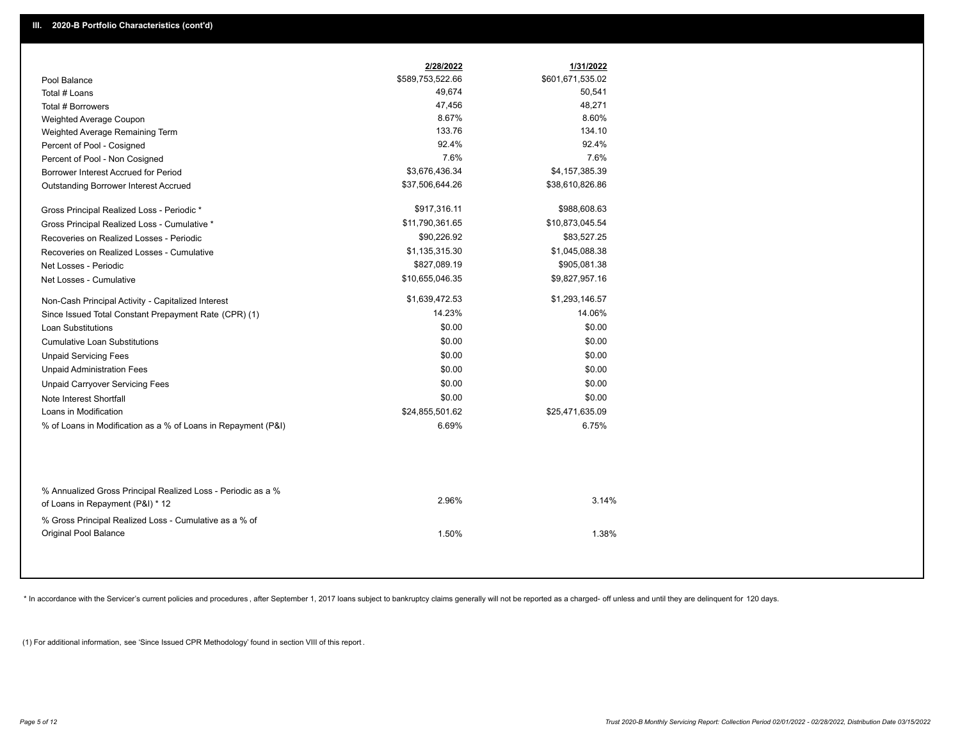|                                                                                                  | 2/28/2022        | 1/31/2022        |
|--------------------------------------------------------------------------------------------------|------------------|------------------|
| Pool Balance                                                                                     | \$589,753,522.66 | \$601,671,535.02 |
| Total # Loans                                                                                    | 49,674           | 50,541           |
| Total # Borrowers                                                                                | 47,456           | 48,271           |
| Weighted Average Coupon                                                                          | 8.67%            | 8.60%            |
| Weighted Average Remaining Term                                                                  | 133.76           | 134.10           |
| Percent of Pool - Cosigned                                                                       | 92.4%            | 92.4%            |
| Percent of Pool - Non Cosigned                                                                   | 7.6%             | 7.6%             |
| Borrower Interest Accrued for Period                                                             | \$3,676,436.34   | \$4,157,385.39   |
| Outstanding Borrower Interest Accrued                                                            | \$37,506,644.26  | \$38,610,826.86  |
| Gross Principal Realized Loss - Periodic *                                                       | \$917,316.11     | \$988,608.63     |
| Gross Principal Realized Loss - Cumulative *                                                     | \$11,790,361.65  | \$10,873,045.54  |
| Recoveries on Realized Losses - Periodic                                                         | \$90,226.92      | \$83,527.25      |
| Recoveries on Realized Losses - Cumulative                                                       | \$1,135,315.30   | \$1,045,088.38   |
| Net Losses - Periodic                                                                            | \$827,089.19     | \$905,081.38     |
| Net Losses - Cumulative                                                                          | \$10,655,046.35  | \$9,827,957.16   |
| Non-Cash Principal Activity - Capitalized Interest                                               | \$1,639,472.53   | \$1,293,146.57   |
| Since Issued Total Constant Prepayment Rate (CPR) (1)                                            | 14.23%           | 14.06%           |
| <b>Loan Substitutions</b>                                                                        | \$0.00           | \$0.00           |
| <b>Cumulative Loan Substitutions</b>                                                             | \$0.00           | \$0.00           |
| <b>Unpaid Servicing Fees</b>                                                                     | \$0.00           | \$0.00           |
| <b>Unpaid Administration Fees</b>                                                                | \$0.00           | \$0.00           |
| <b>Unpaid Carryover Servicing Fees</b>                                                           | \$0.00           | \$0.00           |
| Note Interest Shortfall                                                                          | \$0.00           | \$0.00           |
| Loans in Modification                                                                            | \$24,855,501.62  | \$25,471,635.09  |
| % of Loans in Modification as a % of Loans in Repayment (P&I)                                    | 6.69%            | 6.75%            |
|                                                                                                  |                  |                  |
| % Annualized Gross Principal Realized Loss - Periodic as a %<br>of Loans in Repayment (P&I) * 12 | 2.96%            | 3.14%            |
|                                                                                                  |                  |                  |
| % Gross Principal Realized Loss - Cumulative as a % of<br>Original Pool Balance                  | 1.50%            | 1.38%            |
|                                                                                                  |                  |                  |

\* In accordance with the Servicer's current policies and procedures, after September 1, 2017 loans subject to bankruptcy claims generally will not be reported as a charged- off unless and until they are delinquent for 120

(1) For additional information, see 'Since Issued CPR Methodology' found in section VIII of this report .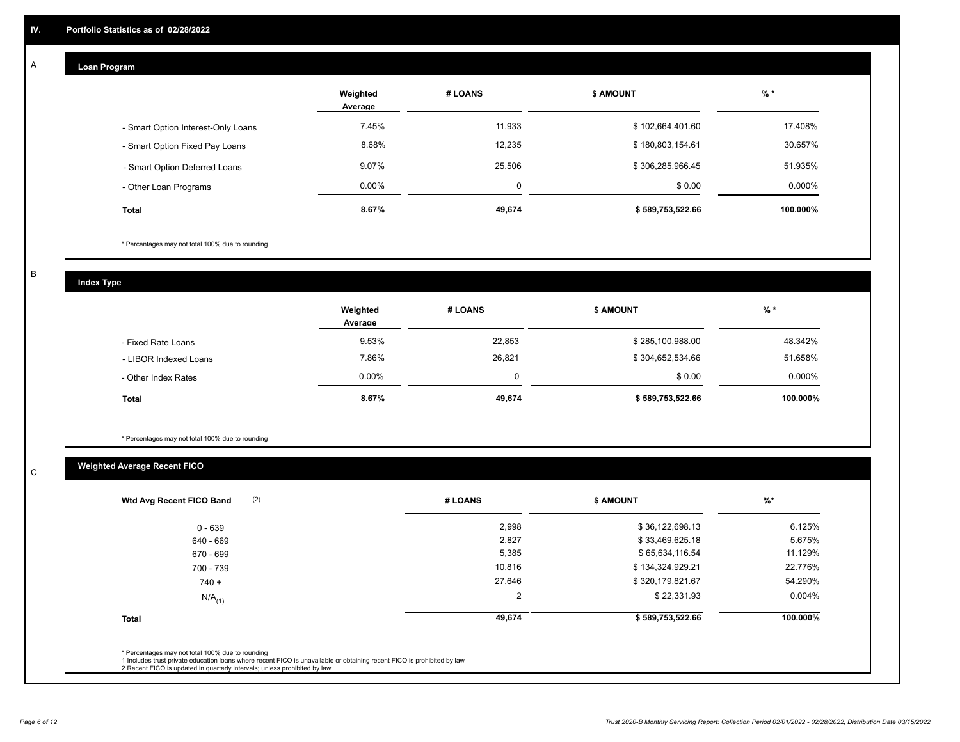## **Loan Program**

A

|                                    | Weighted<br>Average | # LOANS  | <b>\$ AMOUNT</b> | $%$ *    |
|------------------------------------|---------------------|----------|------------------|----------|
| - Smart Option Interest-Only Loans | 7.45%               | 11,933   | \$102,664,401.60 | 17.408%  |
| - Smart Option Fixed Pay Loans     | 8.68%               | 12,235   | \$180,803,154.61 | 30.657%  |
| - Smart Option Deferred Loans      | 9.07%               | 25,506   | \$306,285,966.45 | 51.935%  |
| - Other Loan Programs              | $0.00\%$            | $\Omega$ | \$0.00           | 0.000%   |
| <b>Total</b>                       | 8.67%               | 49,674   | \$589,753,522.66 | 100.000% |

\* Percentages may not total 100% due to rounding

B

C

**Index Type**

|                       | Weighted<br>Average | # LOANS | <b>\$ AMOUNT</b> | $%$ *     |
|-----------------------|---------------------|---------|------------------|-----------|
| - Fixed Rate Loans    | 9.53%               | 22,853  | \$285,100,988.00 | 48.342%   |
| - LIBOR Indexed Loans | 7.86%               | 26,821  | \$304,652,534.66 | 51.658%   |
| - Other Index Rates   | $0.00\%$            |         | \$0.00           | $0.000\%$ |
| <b>Total</b>          | 8.67%               | 49,674  | \$589,753,522.66 | 100.000%  |

\* Percentages may not total 100% due to rounding

## **Weighted Average Recent FICO**

| 2,998<br>2,827<br>5,385 | \$36,122,698.13<br>\$33,469,625.18<br>\$65,634,116.54 | 6.125%<br>5.675% |
|-------------------------|-------------------------------------------------------|------------------|
|                         |                                                       |                  |
|                         |                                                       |                  |
|                         |                                                       | 11.129%          |
| 10,816                  | \$134,324,929.21                                      | 22.776%          |
| 27,646                  | \$320,179,821.67                                      | 54.290%          |
| $\overline{2}$          | \$22,331.93                                           | $0.004\%$        |
| 49,674                  | \$589,753,522.66                                      | 100.000%         |
|                         |                                                       |                  |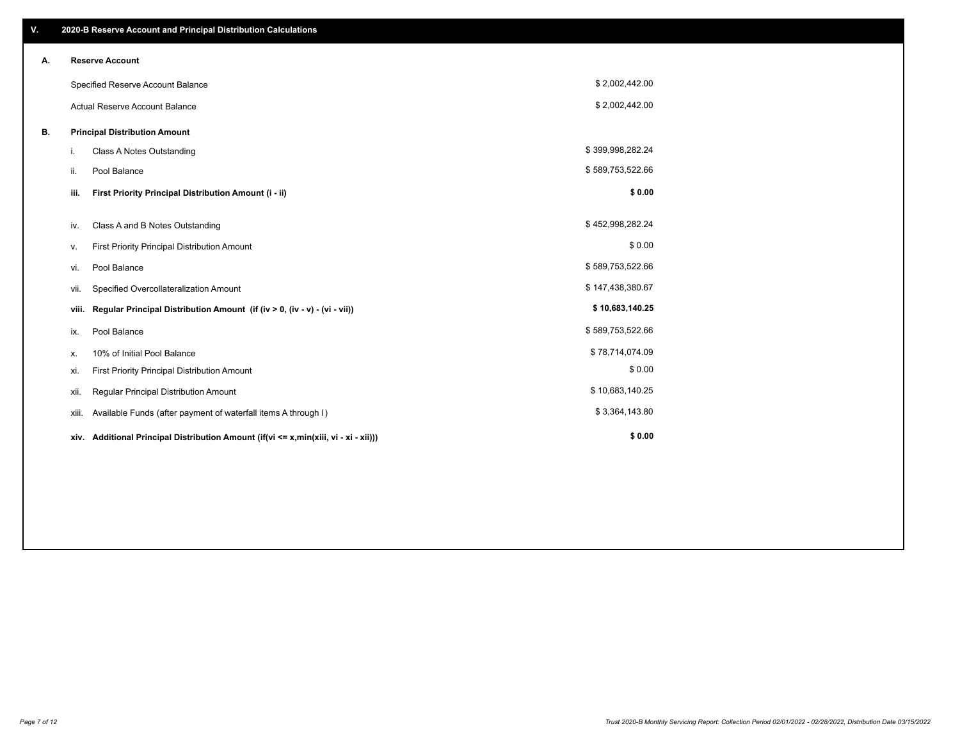| V. |                                      | 2020-B Reserve Account and Principal Distribution Calculations                       |                  |  |
|----|--------------------------------------|--------------------------------------------------------------------------------------|------------------|--|
| А. |                                      | <b>Reserve Account</b>                                                               |                  |  |
|    |                                      | Specified Reserve Account Balance                                                    | \$2,002,442.00   |  |
|    |                                      | Actual Reserve Account Balance                                                       | \$2,002,442.00   |  |
| В. | <b>Principal Distribution Amount</b> |                                                                                      |                  |  |
|    | i.                                   | Class A Notes Outstanding                                                            | \$399,998,282.24 |  |
|    | ii.                                  | Pool Balance                                                                         | \$589,753,522.66 |  |
|    | iii.                                 | First Priority Principal Distribution Amount (i - ii)                                | \$0.00           |  |
|    | iv.                                  | Class A and B Notes Outstanding                                                      | \$452,998,282.24 |  |
|    | ۷.                                   | First Priority Principal Distribution Amount                                         | \$0.00           |  |
|    | vi.                                  | Pool Balance                                                                         | \$589,753,522.66 |  |
|    | vii.                                 | Specified Overcollateralization Amount                                               | \$147,438,380.67 |  |
|    | viii.                                | Regular Principal Distribution Amount (if (iv > 0, (iv - v) - (vi - vii))            | \$10,683,140.25  |  |
|    | ix.                                  | Pool Balance                                                                         | \$589,753,522.66 |  |
|    | х.                                   | 10% of Initial Pool Balance                                                          | \$78,714,074.09  |  |
|    | xi.                                  | First Priority Principal Distribution Amount                                         | \$0.00           |  |
|    | xii.                                 | Regular Principal Distribution Amount                                                | \$10,683,140.25  |  |
|    | xiii.                                | Available Funds (after payment of waterfall items A through I)                       | \$3,364,143.80   |  |
|    |                                      | xiv. Additional Principal Distribution Amount (if(vi <= x,min(xiii, vi - xi - xii))) | \$0.00           |  |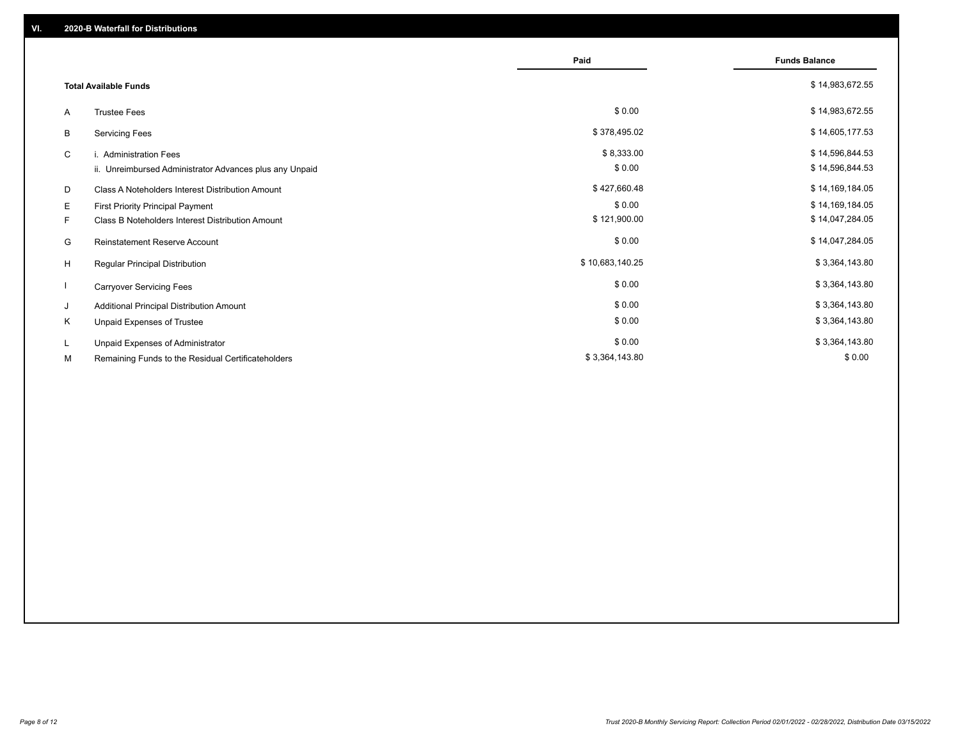|    |                                                         | Paid            | <b>Funds Balance</b> |
|----|---------------------------------------------------------|-----------------|----------------------|
|    | <b>Total Available Funds</b>                            |                 | \$14,983,672.55      |
| A  | <b>Trustee Fees</b>                                     | \$0.00          | \$14,983,672.55      |
| В  | <b>Servicing Fees</b>                                   | \$378,495.02    | \$14,605,177.53      |
| C  | i. Administration Fees                                  | \$8,333.00      | \$14,596,844.53      |
|    | ii. Unreimbursed Administrator Advances plus any Unpaid | \$0.00          | \$14,596,844.53      |
| D  | Class A Noteholders Interest Distribution Amount        | \$427,660.48    | \$14,169,184.05      |
| Е  | First Priority Principal Payment                        | \$0.00          | \$14,169,184.05      |
| F. | Class B Noteholders Interest Distribution Amount        | \$121,900.00    | \$14,047,284.05      |
| G  | <b>Reinstatement Reserve Account</b>                    | \$0.00          | \$14,047,284.05      |
| H  | Regular Principal Distribution                          | \$10,683,140.25 | \$3,364,143.80       |
|    | <b>Carryover Servicing Fees</b>                         | \$0.00          | \$3,364,143.80       |
| J  | Additional Principal Distribution Amount                | \$0.00          | \$3,364,143.80       |
| Κ  | Unpaid Expenses of Trustee                              | \$0.00          | \$3,364,143.80       |
| L. | Unpaid Expenses of Administrator                        | \$0.00          | \$3,364,143.80       |
| М  | Remaining Funds to the Residual Certificateholders      | \$3,364,143.80  | \$0.00               |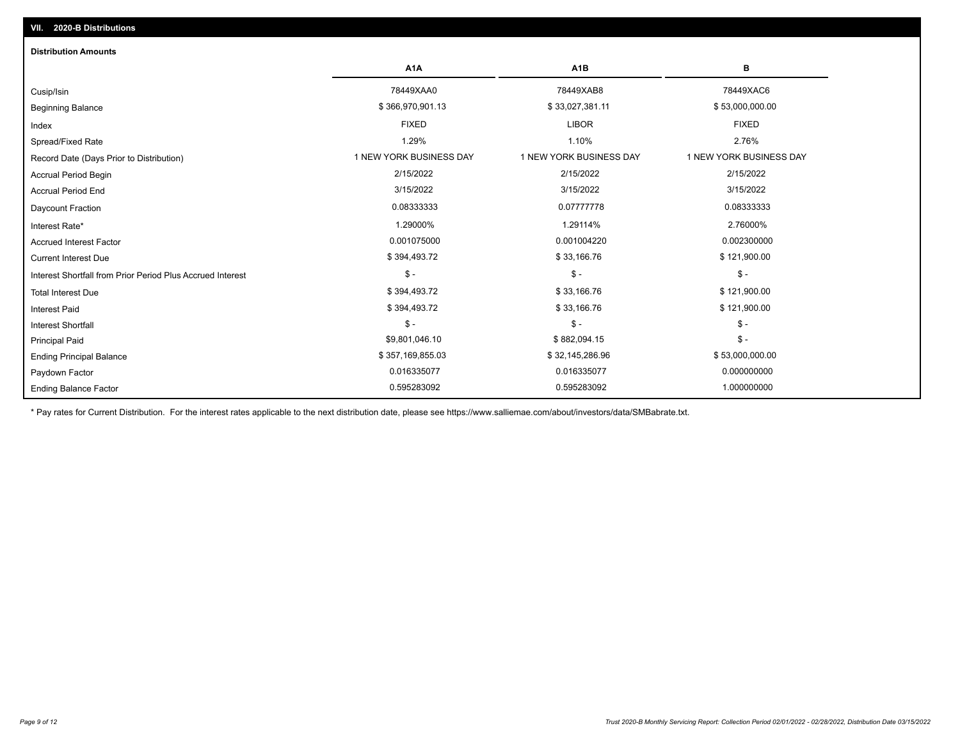| <b>Distribution Amounts</b>                                |                         |                         |                         |
|------------------------------------------------------------|-------------------------|-------------------------|-------------------------|
|                                                            | A <sub>1</sub> A        | A <sub>1</sub> B        | в                       |
| Cusip/Isin                                                 | 78449XAA0               | 78449XAB8               | 78449XAC6               |
| <b>Beginning Balance</b>                                   | \$366,970,901.13        | \$33,027,381.11         | \$53,000,000.00         |
| Index                                                      | <b>FIXED</b>            | <b>LIBOR</b>            | <b>FIXED</b>            |
| Spread/Fixed Rate                                          | 1.29%                   | 1.10%                   | 2.76%                   |
| Record Date (Days Prior to Distribution)                   | 1 NEW YORK BUSINESS DAY | 1 NEW YORK BUSINESS DAY | 1 NEW YORK BUSINESS DAY |
| <b>Accrual Period Begin</b>                                | 2/15/2022               | 2/15/2022               | 2/15/2022               |
| <b>Accrual Period End</b>                                  | 3/15/2022               | 3/15/2022               | 3/15/2022               |
| Daycount Fraction                                          | 0.08333333              | 0.07777778              | 0.08333333              |
| Interest Rate*                                             | 1.29000%                | 1.29114%                | 2.76000%                |
| <b>Accrued Interest Factor</b>                             | 0.001075000             | 0.001004220             | 0.002300000             |
| <b>Current Interest Due</b>                                | \$394,493.72            | \$33,166.76             | \$121,900.00            |
| Interest Shortfall from Prior Period Plus Accrued Interest | $\frac{1}{2}$           | $$ -$                   | $\mathsf{\$}$ -         |
| <b>Total Interest Due</b>                                  | \$394,493.72            | \$33,166.76             | \$121,900.00            |
| <b>Interest Paid</b>                                       | \$394,493.72            | \$33,166.76             | \$121,900.00            |
| <b>Interest Shortfall</b>                                  | $\mathsf{\$}$ -         | $$ -$                   | $$ -$                   |
| <b>Principal Paid</b>                                      | \$9,801,046.10          | \$882,094.15            | $\mathsf{\$}$ -         |
| <b>Ending Principal Balance</b>                            | \$357,169,855.03        | \$32,145,286.96         | \$53,000,000.00         |
| Paydown Factor                                             | 0.016335077             | 0.016335077             | 0.000000000             |
| <b>Ending Balance Factor</b>                               | 0.595283092             | 0.595283092             | 1.000000000             |

\* Pay rates for Current Distribution. For the interest rates applicable to the next distribution date, please see https://www.salliemae.com/about/investors/data/SMBabrate.txt.

**VII. 2020-B Distributions**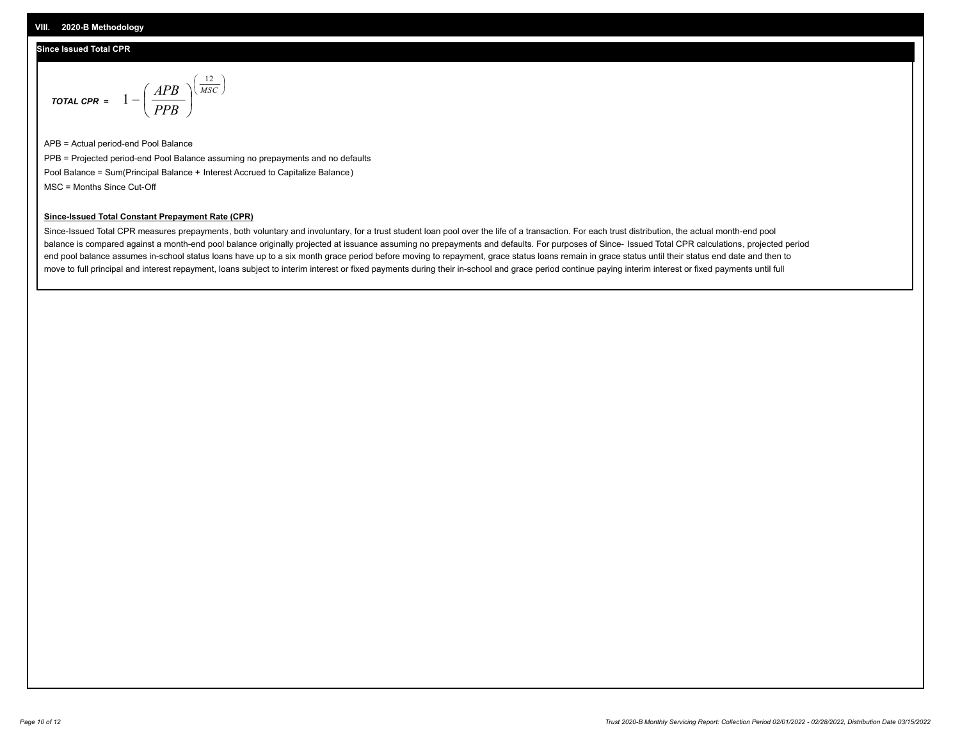## **Since Issued Total CPR**

$$
\text{total cPR} = 1 - \left(\frac{APB}{PPB}\right)^{\left(\frac{12}{MSC}\right)}
$$

APB = Actual period-end Pool Balance PPB = Projected period-end Pool Balance assuming no prepayments and no defaults Pool Balance = Sum(Principal Balance + Interest Accrued to Capitalize Balance) MSC = Months Since Cut-Off

I J Ι

#### **Since-Issued Total Constant Prepayment Rate (CPR)**

Since-Issued Total CPR measures prepayments, both voluntary and involuntary, for a trust student loan pool over the life of a transaction. For each trust distribution, the actual month-end pool balance is compared against a month-end pool balance originally projected at issuance assuming no prepayments and defaults. For purposes of Since- Issued Total CPR calculations, projected period end pool balance assumes in-school status loans have up to a six month grace period before moving to repayment, grace status loans remain in grace status until their status end date and then to move to full principal and interest repayment, loans subject to interim interest or fixed payments during their in-school and grace period continue paying interim interest or fixed payments until full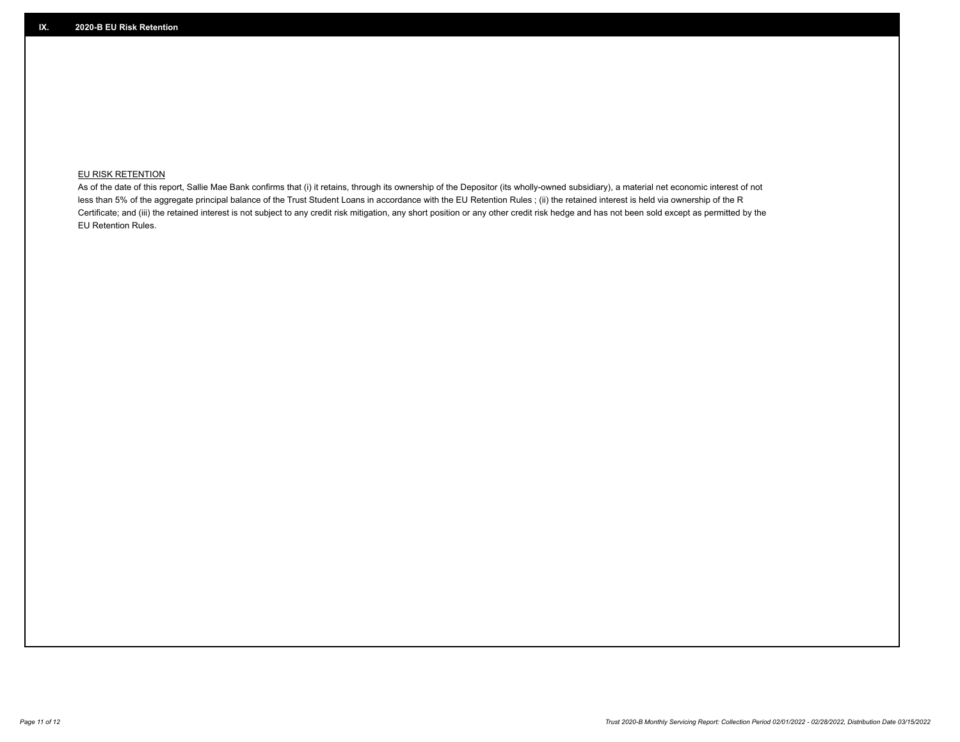## **EU RISK RETENTION**

As of the date of this report, Sallie Mae Bank confirms that (i) it retains, through its ownership of the Depositor (its wholly-owned subsidiary), a material net economic interest of not less than 5% of the aggregate principal balance of the Trust Student Loans in accordance with the EU Retention Rules ; (ii) the retained interest is held via ownership of the R Certificate; and (iii) the retained interest is not subject to any credit risk mitigation, any short position or any other credit risk hedge and has not been sold except as permitted by the EU Retention Rules.